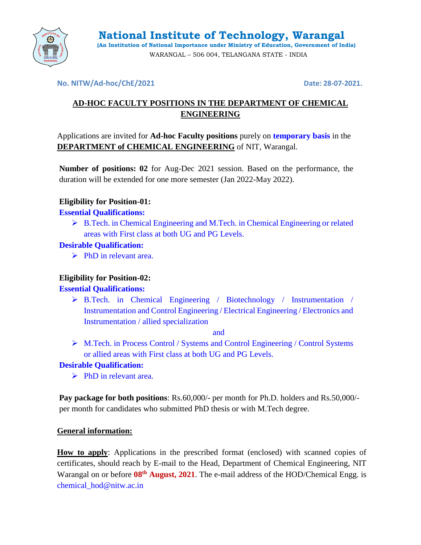

#### **No. NITW/Ad-hoc/ChE/2021 Date: 28-07-2021.**

# **AD-HOC FACULTY POSITIONS IN THE DEPARTMENT OF CHEMICAL ENGINEERING**

Applications are invited for **Ad-hoc Faculty positions** purely on **temporary basis** in the **DEPARTMENT of CHEMICAL ENGINEERING** of NIT, Warangal.

**Number of positions: 02** for Aug-Dec 2021 session. Based on the performance, the duration will be extended for one more semester (Jan 2022-May 2022).

## **Eligibility for Position-01:**

## **Essential Qualifications:**

 B.Tech. in Chemical Engineering and M.Tech. in Chemical Engineering or related areas with First class at both UG and PG Levels.

## **Desirable Qualification:**

 $\triangleright$  PhD in relevant area.

# **Eligibility for Position-02:**

# **Essential Qualifications:**

 $\triangleright$  B.Tech. in Chemical Engineering / Biotechnology / Instrumentation / Instrumentation and Control Engineering / Electrical Engineering / Electronics and Instrumentation / allied specialization

and

 M.Tech. in Process Control / Systems and Control Engineering / Control Systems or allied areas with First class at both UG and PG Levels.

# **Desirable Qualification:**

 $\triangleright$  PhD in relevant area.

**Pay package for both positions**: Rs.60,000/- per month for Ph.D. holders and Rs.50,000/ per month for candidates who submitted PhD thesis or with M.Tech degree.

#### **General information:**

**How to apply**: Applications in the prescribed format (enclosed) with scanned copies of certificates, should reach by E-mail to the Head, Department of Chemical Engineering, NIT Warangal on or before **08th August, 2021**. The e-mail address of the HOD/Chemical Engg. is chemical hod@nitw.ac.in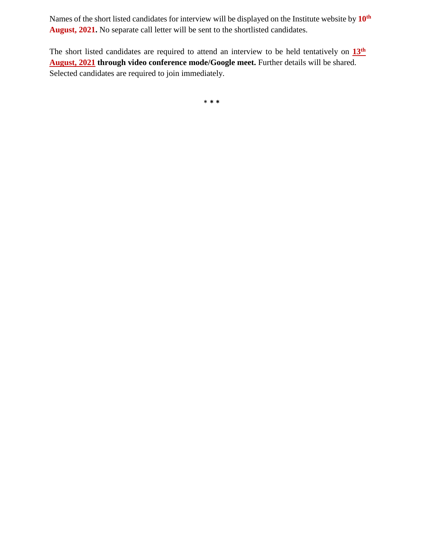Names of the short listed candidates for interview will be displayed on the Institute website by **10 th August, 2021.** No separate call letter will be sent to the shortlisted candidates.

The short listed candidates are required to attend an interview to be held tentatively on  $13<sup>th</sup>$ **August, 2021 through video conference mode/Google meet.** Further details will be shared. Selected candidates are required to join immediately.

\* **\* \***